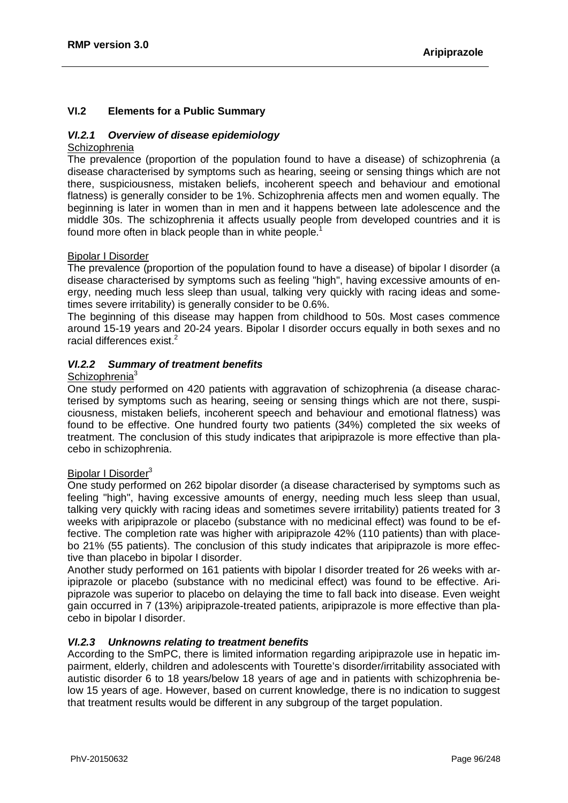## **VI.2 Elements for a Public Summary**

## *VI.2.1 Overview of disease epidemiology*

## **Schizophrenia**

The prevalence (proportion of the population found to have a disease) of schizophrenia (a disease characterised by symptoms such as hearing, seeing or sensing things which are not there, suspiciousness, mistaken beliefs, incoherent speech and behaviour and emotional flatness) is generally consider to be 1%. Schizophrenia affects men and women equally. The beginning is later in women than in men and it happens between late adolescence and the middle 30s. The schizophrenia it affects usually people from developed countries and it is found more often in black people than in white people.<sup>1</sup>

## Bipolar I Disorder

The prevalence (proportion of the population found to have a disease) of bipolar I disorder (a disease characterised by symptoms such as feeling "high", having excessive amounts of energy, needing much less sleep than usual, talking very quickly with racing ideas and sometimes severe irritability) is generally consider to be 0.6%.

The beginning of this disease may happen from childhood to 50s. Most cases commence around 15-19 years and 20-24 years. Bipolar I disorder occurs equally in both sexes and no racial differences exist.<sup>2</sup>

## *VI.2.2 Summary of treatment benefits*

#### Schizophrenia<sup>3</sup>

One study performed on 420 patients with aggravation of schizophrenia (a disease characterised by symptoms such as hearing, seeing or sensing things which are not there, suspiciousness, mistaken beliefs, incoherent speech and behaviour and emotional flatness) was found to be effective. One hundred fourty two patients (34%) completed the six weeks of treatment. The conclusion of this study indicates that aripiprazole is more effective than placebo in schizophrenia.

#### Bipolar I Disorder<sup>3</sup>

One study performed on 262 bipolar disorder (a disease characterised by symptoms such as feeling "high", having excessive amounts of energy, needing much less sleep than usual, talking very quickly with racing ideas and sometimes severe irritability) patients treated for 3 weeks with aripiprazole or placebo (substance with no medicinal effect) was found to be effective. The completion rate was higher with aripiprazole 42% (110 patients) than with placebo 21% (55 patients). The conclusion of this study indicates that aripiprazole is more effective than placebo in bipolar I disorder.

Another study performed on 161 patients with bipolar I disorder treated for 26 weeks with aripiprazole or placebo (substance with no medicinal effect) was found to be effective. Aripiprazole was superior to placebo on delaying the time to fall back into disease. Even weight gain occurred in 7 (13%) aripiprazole-treated patients, aripiprazole is more effective than placebo in bipolar I disorder.

## *VI.2.3 Unknowns relating to treatment benefits*

According to the SmPC, there is limited information regarding aripiprazole use in hepatic impairment, elderly, children and adolescents with Tourette's disorder/irritability associated with autistic disorder 6 to 18 years/below 18 years of age and in patients with schizophrenia below 15 years of age. However, based on current knowledge, there is no indication to suggest that treatment results would be different in any subgroup of the target population.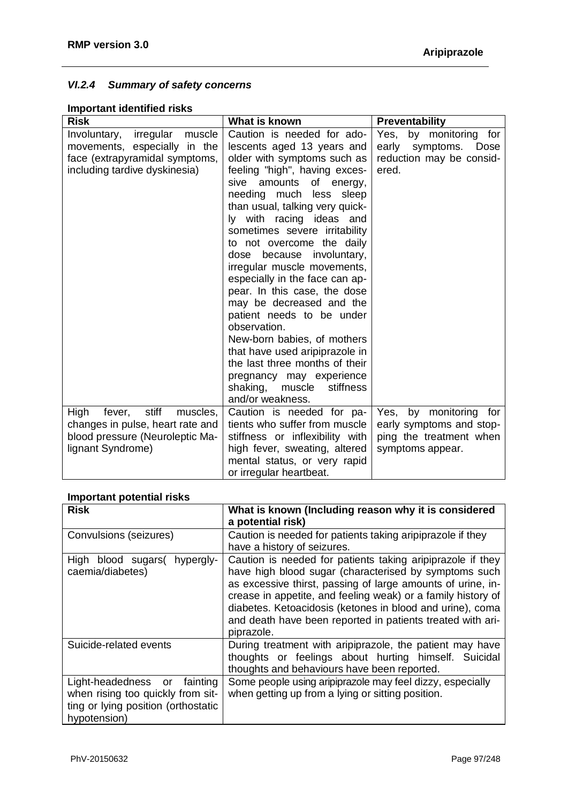## *VI.2.4 Summary of safety concerns*

## **Important identified risks**

| <b>Risk</b>                         | What is known                                         | <b>Preventability</b>     |  |
|-------------------------------------|-------------------------------------------------------|---------------------------|--|
| irregular<br>muscle<br>Involuntary, | Caution is needed for ado-                            | Yes, by monitoring<br>for |  |
| movements, especially in the        | lescents aged 13 years and                            | early symptoms.<br>Dose   |  |
| face (extrapyramidal symptoms,      | older with symptoms such as                           | reduction may be consid-  |  |
| including tardive dyskinesia)       | feeling "high", having exces-                         | ered.                     |  |
|                                     | of energy,<br>amounts<br>sive                         |                           |  |
|                                     | needing much less sleep                               |                           |  |
|                                     | than usual, talking very quick-                       |                           |  |
|                                     | ly with racing ideas and                              |                           |  |
|                                     | sometimes severe irritability                         |                           |  |
|                                     | to not overcome the daily                             |                           |  |
|                                     | dose because involuntary,                             |                           |  |
|                                     | irregular muscle movements,                           |                           |  |
|                                     | especially in the face can ap-                        |                           |  |
|                                     | pear. In this case, the dose                          |                           |  |
|                                     | may be decreased and the<br>patient needs to be under |                           |  |
|                                     | observation.                                          |                           |  |
|                                     | New-born babies, of mothers                           |                           |  |
|                                     | that have used aripiprazole in                        |                           |  |
|                                     | the last three months of their                        |                           |  |
|                                     | pregnancy may experience                              |                           |  |
|                                     | shaking,<br>stiffness<br>muscle                       |                           |  |
|                                     | and/or weakness.                                      |                           |  |
| stiff<br>High<br>fever,<br>muscles, | Caution is needed for pa-                             | Yes, by monitoring for    |  |
| changes in pulse, heart rate and    | tients who suffer from muscle                         | early symptoms and stop-  |  |
| blood pressure (Neuroleptic Ma-     | stiffness or inflexibility with                       | ping the treatment when   |  |
| lignant Syndrome)                   | high fever, sweating, altered                         | symptoms appear.          |  |
|                                     | mental status, or very rapid                          |                           |  |
|                                     | or irregular heartbeat.                               |                           |  |

## **Important potential risks**

| <b>Risk</b>                                                                                                                    | What is known (Including reason why it is considered<br>a potential risk)                                                                                                                                                                                                                                                                                                                   |
|--------------------------------------------------------------------------------------------------------------------------------|---------------------------------------------------------------------------------------------------------------------------------------------------------------------------------------------------------------------------------------------------------------------------------------------------------------------------------------------------------------------------------------------|
| Convulsions (seizures)                                                                                                         | Caution is needed for patients taking aripiprazole if they<br>have a history of seizures.                                                                                                                                                                                                                                                                                                   |
| High blood sugars (hypergly-<br>caemia/diabetes)                                                                               | Caution is needed for patients taking aripiprazole if they<br>have high blood sugar (characterised by symptoms such<br>as excessive thirst, passing of large amounts of urine, in-<br>crease in appetite, and feeling weak) or a family history of<br>diabetes. Ketoacidosis (ketones in blood and urine), coma<br>and death have been reported in patients treated with ari-<br>piprazole. |
| Suicide-related events                                                                                                         | During treatment with aripiprazole, the patient may have<br>thoughts or feelings about hurting himself. Suicidal<br>thoughts and behaviours have been reported.                                                                                                                                                                                                                             |
| fainting<br>Light-headedness<br>or<br>when rising too quickly from sit-<br>ting or lying position (orthostatic<br>hypotension) | Some people using aripiprazole may feel dizzy, especially<br>when getting up from a lying or sitting position.                                                                                                                                                                                                                                                                              |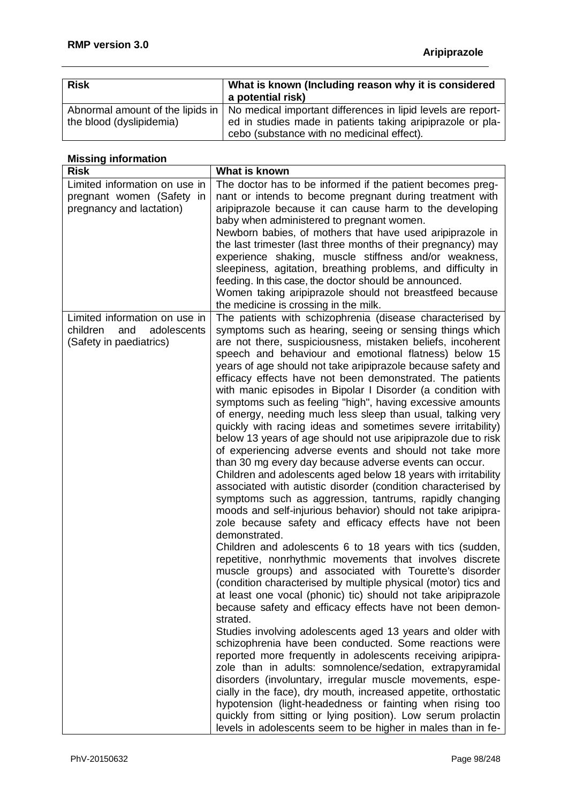| <b>Risk</b>                                                  | What is known (Including reason why it is considered<br>a potential risk)                                                  |
|--------------------------------------------------------------|----------------------------------------------------------------------------------------------------------------------------|
| Abnormal amount of the lipids in<br>the blood (dyslipidemia) | No medical important differences in lipid levels are report-<br>ed in studies made in patients taking aripiprazole or pla- |
|                                                              | cebo (substance with no medicinal effect).                                                                                 |

# **Missing information**

| <b>Risk</b>                    | What is known                                                                                                            |
|--------------------------------|--------------------------------------------------------------------------------------------------------------------------|
| Limited information on use in  | The doctor has to be informed if the patient becomes preg-                                                               |
| pregnant women (Safety in      | nant or intends to become pregnant during treatment with                                                                 |
| pregnancy and lactation)       | aripiprazole because it can cause harm to the developing                                                                 |
|                                | baby when administered to pregnant women.                                                                                |
|                                | Newborn babies, of mothers that have used aripiprazole in                                                                |
|                                | the last trimester (last three months of their pregnancy) may                                                            |
|                                | experience shaking, muscle stiffness and/or weakness,                                                                    |
|                                | sleepiness, agitation, breathing problems, and difficulty in                                                             |
|                                | feeding. In this case, the doctor should be announced.                                                                   |
|                                | Women taking aripiprazole should not breastfeed because                                                                  |
|                                | the medicine is crossing in the milk.                                                                                    |
| Limited information on use in  | The patients with schizophrenia (disease characterised by                                                                |
| children<br>and<br>adolescents | symptoms such as hearing, seeing or sensing things which                                                                 |
| (Safety in paediatrics)        | are not there, suspiciousness, mistaken beliefs, incoherent                                                              |
|                                | speech and behaviour and emotional flatness) below 15                                                                    |
|                                | years of age should not take aripiprazole because safety and                                                             |
|                                | efficacy effects have not been demonstrated. The patients                                                                |
|                                | with manic episodes in Bipolar I Disorder (a condition with<br>symptoms such as feeling "high", having excessive amounts |
|                                | of energy, needing much less sleep than usual, talking very                                                              |
|                                | quickly with racing ideas and sometimes severe irritability)                                                             |
|                                | below 13 years of age should not use aripiprazole due to risk                                                            |
|                                | of experiencing adverse events and should not take more                                                                  |
|                                | than 30 mg every day because adverse events can occur.                                                                   |
|                                | Children and adolescents aged below 18 years with irritability                                                           |
|                                | associated with autistic disorder (condition characterised by                                                            |
|                                | symptoms such as aggression, tantrums, rapidly changing                                                                  |
|                                | moods and self-injurious behavior) should not take aripipra-                                                             |
|                                | zole because safety and efficacy effects have not been                                                                   |
|                                | demonstrated.                                                                                                            |
|                                | Children and adolescents 6 to 18 years with tics (sudden,                                                                |
|                                | repetitive, nonrhythmic movements that involves discrete                                                                 |
|                                | muscle groups) and associated with Tourette's disorder                                                                   |
|                                | (condition characterised by multiple physical (motor) tics and                                                           |
|                                | at least one vocal (phonic) tic) should not take aripiprazole                                                            |
|                                | because safety and efficacy effects have not been demon-                                                                 |
|                                | strated.                                                                                                                 |
|                                | Studies involving adolescents aged 13 years and older with                                                               |
|                                | schizophrenia have been conducted. Some reactions were                                                                   |
|                                | reported more frequently in adolescents receiving aripipra-                                                              |
|                                | zole than in adults: somnolence/sedation, extrapyramidal                                                                 |
|                                | disorders (involuntary, irregular muscle movements, espe-                                                                |
|                                | cially in the face), dry mouth, increased appetite, orthostatic                                                          |
|                                | hypotension (light-headedness or fainting when rising too                                                                |
|                                | quickly from sitting or lying position). Low serum prolactin                                                             |
|                                | levels in adolescents seem to be higher in males than in fe-                                                             |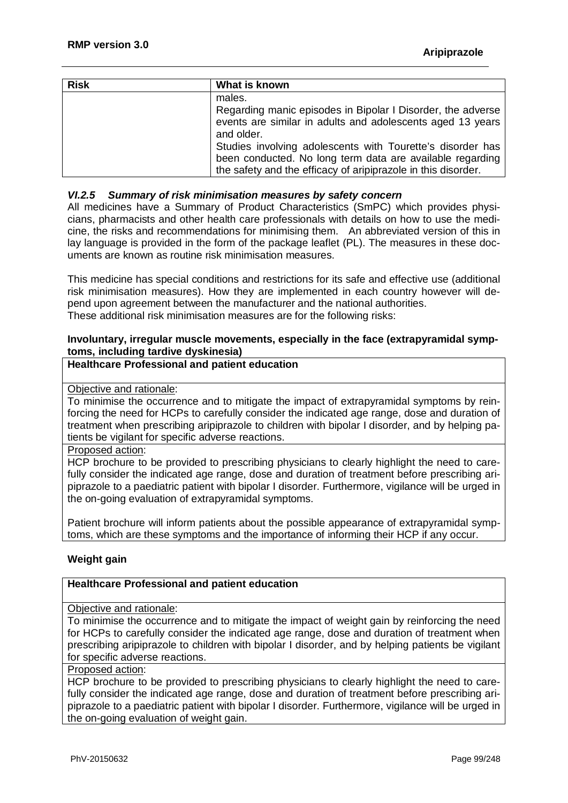| <b>Risk</b> | What is known                                                                                                                                                                                                                                                                                                                                 |
|-------------|-----------------------------------------------------------------------------------------------------------------------------------------------------------------------------------------------------------------------------------------------------------------------------------------------------------------------------------------------|
|             | males.<br>Regarding manic episodes in Bipolar I Disorder, the adverse<br>events are similar in adults and adolescents aged 13 years<br>and older.<br>Studies involving adolescents with Tourette's disorder has<br>been conducted. No long term data are available regarding<br>the safety and the efficacy of aripiprazole in this disorder. |

#### *VI.2.5 Summary of risk minimisation measures by safety concern*

All medicines have a Summary of Product Characteristics (SmPC) which provides physicians, pharmacists and other health care professionals with details on how to use the medicine, the risks and recommendations for minimising them. An abbreviated version of this in lay language is provided in the form of the package leaflet (PL). The measures in these documents are known as routine risk minimisation measures.

This medicine has special conditions and restrictions for its safe and effective use (additional risk minimisation measures). How they are implemented in each country however will depend upon agreement between the manufacturer and the national authorities. These additional risk minimisation measures are for the following risks:

## **Involuntary, irregular muscle movements, especially in the face (extrapyramidal symptoms, including tardive dyskinesia)**

## **Healthcare Professional and patient education**

## Objective and rationale:

To minimise the occurrence and to mitigate the impact of extrapyramidal symptoms by reinforcing the need for HCPs to carefully consider the indicated age range, dose and duration of treatment when prescribing aripiprazole to children with bipolar I disorder, and by helping patients be vigilant for specific adverse reactions.

Proposed action:

HCP brochure to be provided to prescribing physicians to clearly highlight the need to carefully consider the indicated age range, dose and duration of treatment before prescribing aripiprazole to a paediatric patient with bipolar I disorder. Furthermore, vigilance will be urged in the on-going evaluation of extrapyramidal symptoms.

Patient brochure will inform patients about the possible appearance of extrapyramidal symptoms, which are these symptoms and the importance of informing their HCP if any occur.

## **Weight gain**

#### **Healthcare Professional and patient education**

#### Objective and rationale:

To minimise the occurrence and to mitigate the impact of weight gain by reinforcing the need for HCPs to carefully consider the indicated age range, dose and duration of treatment when prescribing aripiprazole to children with bipolar I disorder, and by helping patients be vigilant for specific adverse reactions.

## Proposed action:

HCP brochure to be provided to prescribing physicians to clearly highlight the need to carefully consider the indicated age range, dose and duration of treatment before prescribing aripiprazole to a paediatric patient with bipolar I disorder. Furthermore, vigilance will be urged in the on-going evaluation of weight gain.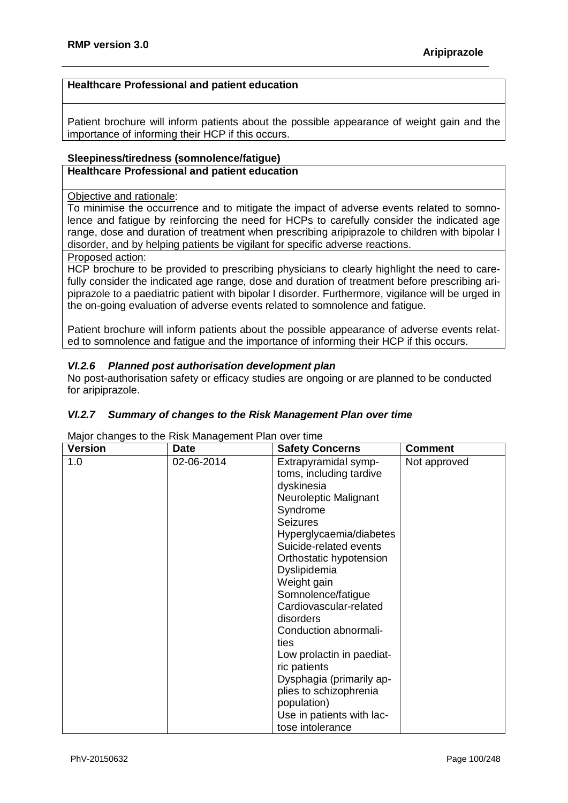## **Healthcare Professional and patient education**

Patient brochure will inform patients about the possible appearance of weight gain and the importance of informing their HCP if this occurs.

## **Sleepiness/tiredness (somnolence/fatigue) Healthcare Professional and patient education**

#### Objective and rationale:

To minimise the occurrence and to mitigate the impact of adverse events related to somnolence and fatigue by reinforcing the need for HCPs to carefully consider the indicated age range, dose and duration of treatment when prescribing aripiprazole to children with bipolar I disorder, and by helping patients be vigilant for specific adverse reactions.

#### Proposed action:

HCP brochure to be provided to prescribing physicians to clearly highlight the need to carefully consider the indicated age range, dose and duration of treatment before prescribing aripiprazole to a paediatric patient with bipolar I disorder. Furthermore, vigilance will be urged in the on-going evaluation of adverse events related to somnolence and fatigue.

Patient brochure will inform patients about the possible appearance of adverse events related to somnolence and fatigue and the importance of informing their HCP if this occurs.

## *VI.2.6 Planned post authorisation development plan*

No post-authorisation safety or efficacy studies are ongoing or are planned to be conducted for aripiprazole.

## *VI.2.7 Summary of changes to the Risk Management Plan over time*

Major changes to the Risk Management Plan over time

| <b>Version</b> | <b>Date</b> | <b>Safety Concerns</b>                                                                                                                                                                                                                                                                                                                                                                                                                                                                                | <b>Comment</b> |
|----------------|-------------|-------------------------------------------------------------------------------------------------------------------------------------------------------------------------------------------------------------------------------------------------------------------------------------------------------------------------------------------------------------------------------------------------------------------------------------------------------------------------------------------------------|----------------|
| 1.0            | 02-06-2014  | Extrapyramidal symp-<br>toms, including tardive<br>dyskinesia<br>Neuroleptic Malignant<br>Syndrome<br><b>Seizures</b><br>Hyperglycaemia/diabetes<br>Suicide-related events<br>Orthostatic hypotension<br>Dyslipidemia<br>Weight gain<br>Somnolence/fatigue<br>Cardiovascular-related<br>disorders<br>Conduction abnormali-<br>ties<br>Low prolactin in paediat-<br>ric patients<br>Dysphagia (primarily ap-<br>plies to schizophrenia<br>population)<br>Use in patients with lac-<br>tose intolerance | Not approved   |